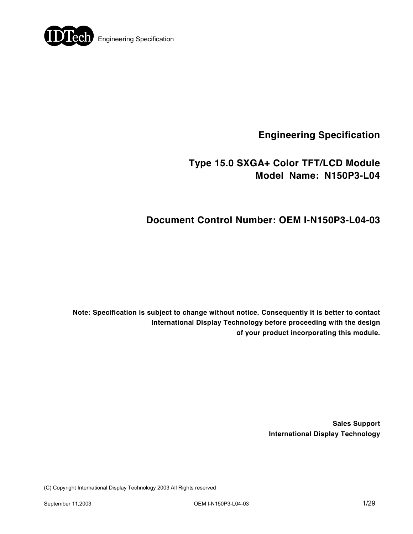

**Engineering Specification** 

## **Type 15.0 SXGA+ Color TFT/LCD Module Model Name: N150P3-L04**

## **Document Control Number: OEM I-N150P3-L04-03**

**Note: Specification is subject to change without notice. Consequently it is better to contact International Display Technology before proceeding with the design of your product incorporating this module.** 

> **Sales Support International Display Technology**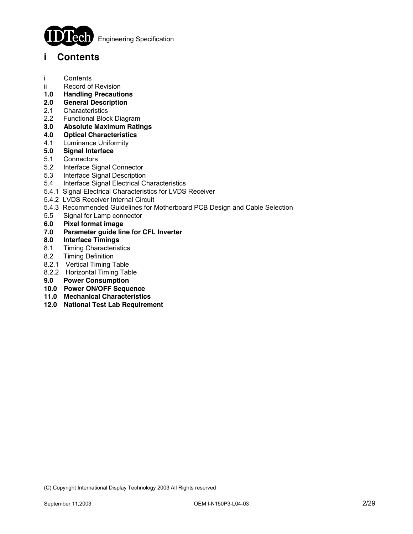

**Engineering Specification** 

## **i Contents**

- i Contents
- ii Record of Revision
- **1.0 Handling Precautions**
- **2.0 General Description**
- 2.1 Characteristics
- 2.2 Functional Block Diagram
- **3.0 Absolute Maximum Ratings**
- **4.0 Optical Characteristics**
- 4.1 Luminance Uniformity
- **5.0 Signal Interface**
- 5.1 Connectors
- 5.2 Interface Signal Connector
- 5.3 Interface Signal Description
- 5.4 Interface Signal Electrical Characteristics
- 5.4.1 Signal Electrical Characteristics for LVDS Receiver
- 5.4.2 LVDS Receiver Internal Circuit
- 5.4.3 Recommended Guidelines for Motherboard PCB Design and Cable Selection
- 5.5 Signal for Lamp connector
- **6.0 Pixel format image**
- **7.0 Parameter guide line for CFL Inverter**
- **8.0 Interface Timings**
- 8.1 Timing Characteristics
- 8.2 Timing Definition
- 8.2.1 Vertical Timing Table
- 8.2.2 Horizontal Timing Table
- **9.0 Power Consumption**
- **10.0 Power ON/OFF Sequence**
- **11.0 Mechanical Characteristics**
- **12.0 National Test Lab Requirement**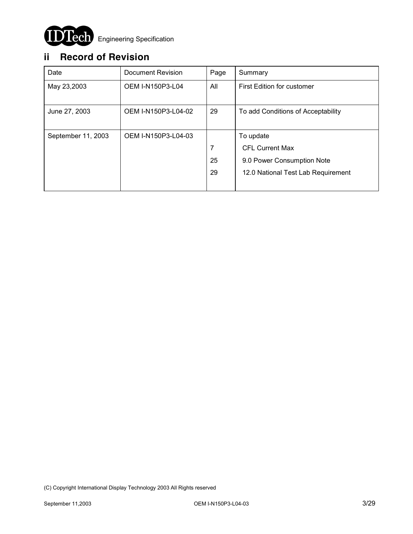

## **ii Record of Revision**

| Date               | Document Revision       | Page | Summary                            |
|--------------------|-------------------------|------|------------------------------------|
| May 23,2003        | <b>OEM I-N150P3-L04</b> | All  | First Edition for customer         |
|                    |                         |      |                                    |
| June 27, 2003      | OEM I-N150P3-L04-02     | 29   | To add Conditions of Acceptability |
|                    |                         |      |                                    |
| September 11, 2003 | OEM I-N150P3-L04-03     |      | To update                          |
|                    |                         | 7    | <b>CFL Current Max</b>             |
|                    |                         | 25   | 9.0 Power Consumption Note         |
|                    |                         | 29   | 12.0 National Test Lab Requirement |
|                    |                         |      |                                    |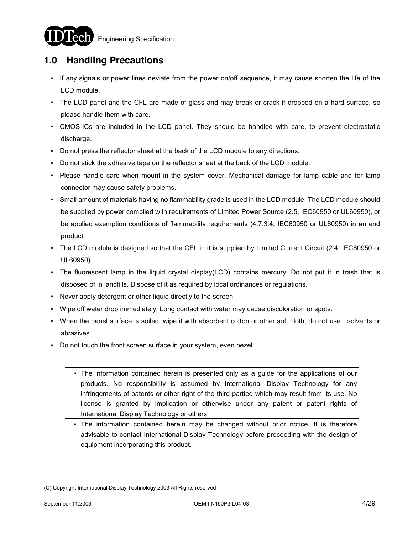

**1.0 Handling Precautions**

 $\overline{1}$ 

- If any signals or power lines deviate from the power on/off sequence, it may cause shorten the life of the LCD module.
- The LCD panel and the CFL are made of glass and may break or crack if dropped on a hard surface, so please handle them with care.
- CMOS-ICs are included in the LCD panel. They should be handled with care, to prevent electrostatic discharge.
- Do not press the reflector sheet at the back of the LCD module to any directions.
- Do not stick the adhesive tape on the reflector sheet at the back of the LCD module.
- Please handle care when mount in the system cover. Mechanical damage for lamp cable and for lamp connector may cause safety problems.
- Small amount of materials having no flammability grade is used in the LCD module. The LCD module should be supplied by power complied with requirements of Limited Power Source (2.5, IEC60950 or UL60950), or be applied exemption conditions of flammability requirements (4.7.3.4, IEC60950 or UL60950) in an end product.
- The LCD module is designed so that the CFL in it is supplied by Limited Current Circuit (2.4, IEC60950 or UL60950).
- The fluorescent lamp in the liquid crystal display(LCD) contains mercury. Do not put it in trash that is disposed of in landfills. Dispose of it as required by local ordinances or regulations.
- Never apply detergent or other liquid directly to the screen.
- Wipe off water drop immediately. Long contact with water may cause discoloration or spots.
- When the panel surface is soiled, wipe it with absorbent cotton or other soft cloth; do not use solvents or abrasives.
- Do not touch the front screen surface in your system, even bezel.
	- The information contained herein is presented only as a guide for the applications of our products. No responsibility is assumed by International Display Technology for any infringements of patents or other right of the third partied which may result from its use. No license is granted by implication or otherwise under any patent or patent rights of International Display Technology or others.
	- The information contained herein may be changed without prior notice. It is therefore advisable to contact International Display Technology before proceeding with the design of equipment incorporating this product.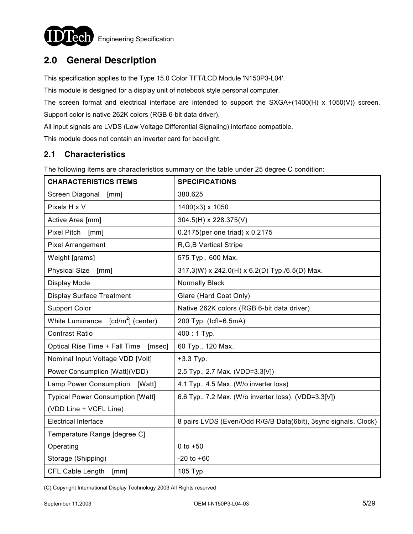

## **2.0 General Description**

This specification applies to the Type 15.0 Color TFT/LCD Module 'N150P3-L04'.

This module is designed for a display unit of notebook style personal computer.

The screen format and electrical interface are intended to support the SXGA+(1400(H) x 1050(V)) screen. Support color is native 262K colors (RGB 6-bit data driver).

All input signals are LVDS (Low Voltage Differential Signaling) interface compatible.

This module does not contain an inverter card for backlight.

#### **2.1 Characteristics**

The following items are characteristics summary on the table under 25 degree C condition:

| <b>CHARACTERISTICS ITEMS</b>                    | <b>SPECIFICATIONS</b>                                          |  |  |
|-------------------------------------------------|----------------------------------------------------------------|--|--|
| Screen Diagonal [mm]                            | 380.625                                                        |  |  |
| Pixels H x V                                    | 1400(x3) x 1050                                                |  |  |
| Active Area [mm]                                | 304.5(H) x 228.375(V)                                          |  |  |
| Pixel Pitch [mm]                                | 0.2175(per one triad) x 0.2175                                 |  |  |
| <b>Pixel Arrangement</b>                        | R, G, B Vertical Stripe                                        |  |  |
| Weight [grams]                                  | 575 Typ., 600 Max.                                             |  |  |
| <b>Physical Size</b><br>[mm]                    | 317.3(W) x 242.0(H) x 6.2(D) Typ./6.5(D) Max.                  |  |  |
| Display Mode                                    | Normally Black                                                 |  |  |
| <b>Display Surface Treatment</b>                | Glare (Hard Coat Only)                                         |  |  |
| <b>Support Color</b>                            | Native 262K colors (RGB 6-bit data driver)                     |  |  |
| White Luminance $\lceil cd/m^2 \rceil$ (center) | 200 Typ. (Icfl=6.5mA)                                          |  |  |
| <b>Contrast Ratio</b>                           | $400:1$ Typ.                                                   |  |  |
| Optical Rise Time + Fall Time<br>[msec]         | 60 Typ., 120 Max.                                              |  |  |
| Nominal Input Voltage VDD [Volt]                | $+3.3$ Typ.                                                    |  |  |
| Power Consumption [Watt](VDD)                   | 2.5 Typ., 2.7 Max. (VDD=3.3[V])                                |  |  |
| Lamp Power Consumption [Watt]                   | 4.1 Typ., 4.5 Max. (W/o inverter loss)                         |  |  |
| <b>Typical Power Consumption [Watt]</b>         | 6.6 Typ., 7.2 Max. (W/o inverter loss). (VDD=3.3[V])           |  |  |
| (VDD Line + VCFL Line)                          |                                                                |  |  |
| <b>Electrical Interface</b>                     | 8 pairs LVDS (Even/Odd R/G/B Data(6bit), 3sync signals, Clock) |  |  |
| Temperature Range [degree C]                    |                                                                |  |  |
| Operating                                       | 0 to $+50$                                                     |  |  |
| Storage (Shipping)                              | $-20$ to $+60$                                                 |  |  |
| CFL Cable Length<br>[mm]                        | 105 Typ                                                        |  |  |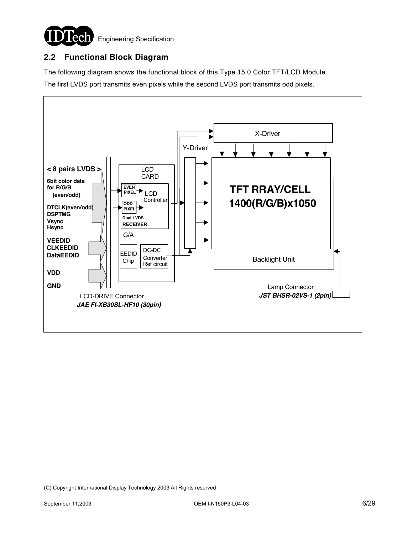

### **2.2 Functional Block Diagram**

The following diagram shows the functional block of this Type 15.0 Color TFT/LCD Module.

The first LVDS port transmits even pixels while the second LVDS port transmits odd pixels.

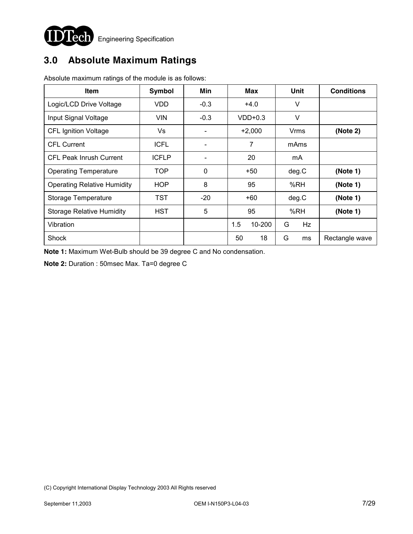

# **3.0 Absolute Maximum Ratings**

| <b>Item</b>                        | <b>Symbol</b> | Min                      | <b>Max</b>        | <b>Unit</b> | <b>Conditions</b> |
|------------------------------------|---------------|--------------------------|-------------------|-------------|-------------------|
| Logic/LCD Drive Voltage            | <b>VDD</b>    | $-0.3$                   | $+4.0$            | V           |                   |
| Input Signal Voltage               | <b>VIN</b>    | $-0.3$                   | $VDD+0.3$         | V           |                   |
| <b>CFL Ignition Voltage</b>        | Vs            | $\overline{\phantom{a}}$ | $+2,000$          | Vrms        | (Note 2)          |
| <b>CFL Current</b>                 | <b>ICFL</b>   |                          | 7                 | mAms        |                   |
| <b>CFL Peak Inrush Current</b>     | <b>ICFLP</b>  |                          | 20                | mA          |                   |
| <b>Operating Temperature</b>       | TOP           | $\mathbf 0$              | $+50$             | deg.C       | (Note 1)          |
| <b>Operating Relative Humidity</b> | <b>HOP</b>    | 8                        | 95                | %RH         | (Note 1)          |
| Storage Temperature                | TST           | $-20$                    | +60               | deg.C       | (Note 1)          |
| <b>Storage Relative Humidity</b>   | <b>HST</b>    | 5                        | 95                | %RH         | (Note 1)          |
| Vibration                          |               |                          | 1.5<br>$10 - 200$ | G<br>Hz     |                   |
| Shock                              |               |                          | 50<br>18          | G<br>ms     | Rectangle wave    |

Absolute maximum ratings of the module is as follows:

**Note 1:** Maximum Wet-Bulb should be 39 degree C and No condensation.

**Note 2:** Duration : 50msec Max. Ta=0 degree C

<sup>(</sup>C) Copyright International Display Technology 2003 All Rights reserved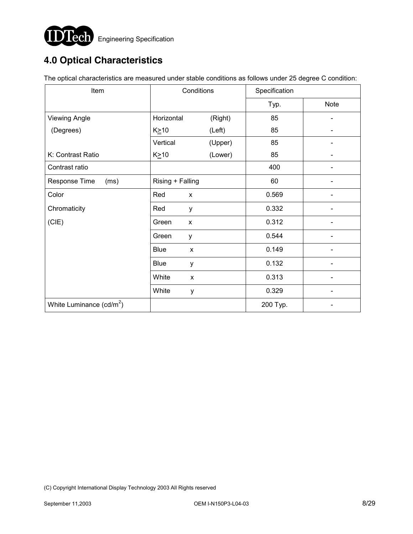

# **4.0 Optical Characteristics**

The optical characteristics are measured under stable conditions as follows under 25 degree C condition:

| Item                       | Conditions                  |         | Specification |             |  |
|----------------------------|-----------------------------|---------|---------------|-------------|--|
|                            |                             |         | Typ.          | <b>Note</b> |  |
| <b>Viewing Angle</b>       | Horizontal                  | (Right) | 85            |             |  |
| (Degrees)                  | $K \geq 10$                 | (Left)  | 85            |             |  |
|                            | Vertical                    | (Upper) | 85            |             |  |
| K: Contrast Ratio          | $K \geq 10$                 | (Lower) | 85            |             |  |
| Contrast ratio             |                             |         | 400           |             |  |
| Response Time<br>(ms)      | Rising + Falling            |         | 60            |             |  |
| Color                      | Red<br>X                    |         | 0.569         |             |  |
| Chromaticity               | Red<br>y                    |         | 0.332         |             |  |
| (CIE)                      | Green<br>X                  |         | 0.312         |             |  |
|                            | Green<br>y                  |         | 0.544         |             |  |
|                            | <b>Blue</b><br>$\mathsf{x}$ |         | 0.149         |             |  |
|                            | <b>Blue</b><br>у            |         | 0.132         |             |  |
|                            | White<br>X                  |         | 0.313         |             |  |
|                            | White<br>У                  |         | 0.329         |             |  |
| White Luminance $(cd/m^2)$ |                             |         | 200 Typ.      |             |  |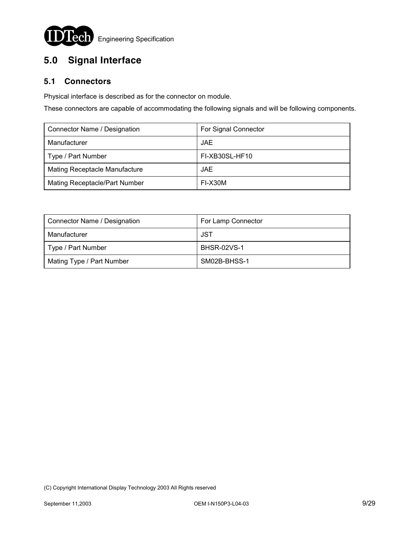

# **5.0 Signal Interface**

### **5.1 Connectors**

Physical interface is described as for the connector on module.

These connectors are capable of accommodating the following signals and will be following components.

| Connector Name / Designation         | For Signal Connector |
|--------------------------------------|----------------------|
| Manufacturer                         | JAE.                 |
| Type / Part Number                   | FI-XB30SL-HF10       |
| <b>Mating Receptacle Manufacture</b> | JAE.                 |
| Mating Receptacle/Part Number        | FI-X30M              |

| Connector Name / Designation | For Lamp Connector |  |
|------------------------------|--------------------|--|
| Manufacturer                 | JST                |  |
| Type / Part Number           | <b>BHSR-02VS-1</b> |  |
| Mating Type / Part Number    | SM02B-BHSS-1       |  |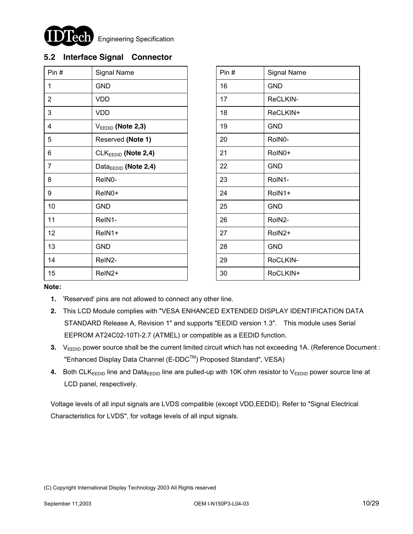

### **5.2 Interface Signal Connector**

| Pin#           | Signal Name                      | Pin# | Signal Name |
|----------------|----------------------------------|------|-------------|
| 1              | <b>GND</b>                       | 16   | <b>GND</b>  |
| $\overline{2}$ | <b>VDD</b>                       | 17   | ReCLKIN-    |
| 3              | VDD                              | 18   | ReCLKIN+    |
| 4              | $V_{EEDID}$ (Note 2,3)           | 19   | <b>GND</b>  |
| 5              | Reserved (Note 1)                | 20   | RoIN0-      |
| 6              | $CLKEEDID$ (Note 2,4)            | 21   | RoIN0+      |
| $\overline{7}$ | Data <sub>EEDID</sub> (Note 2,4) | 22   | <b>GND</b>  |
| 8              | ReIN0-                           | 23   | RoIN1-      |
| 9              | ReIN0+                           | 24   | RoIN1+      |
| 10             | <b>GND</b>                       | 25   | <b>GND</b>  |
| 11             | ReIN1-                           | 26   | RoIN2-      |
| 12             | ReIN1+                           | 27   | RoIN2+      |
| 13             | <b>GND</b>                       | 28   | <b>GND</b>  |
| 14             | ReIN2-                           | 29   | RoCLKIN-    |
| 15             | ReIN <sub>2</sub> +              | 30   | RoCLKIN+    |

| Pin# | <b>Signal Name</b> |  |
|------|--------------------|--|
| 16   | <b>GND</b>         |  |
| 17   | ReCLKIN-           |  |
| 18   | ReCLKIN+           |  |
| 19   | <b>GND</b>         |  |
| 20   | RoIN0-             |  |
| 21   | RoIN0+             |  |
| 22   | <b>GND</b>         |  |
| 23   | RoIN1-             |  |
| 24   | RoIN1+             |  |
| 25   | <b>GND</b>         |  |
| 26   | RoIN2-             |  |
| 27   | RoIN2+             |  |
| 28   | <b>GND</b>         |  |
| 29   | RoCLKIN-           |  |
| 30   | RoCLKIN+           |  |

#### **Note:**

- **1.** 'Reserved' pins are not allowed to connect any other line.
- **2.** This LCD Module complies with "VESA ENHANCED EXTENDED DISPLAY IDENTIFICATION DATA STANDARD Release A, Revision 1" and supports "EEDID version 1.3". This module uses Serial EEPROM AT24C02-10TI-2.7 (ATMEL) or compatible as a EEDID function.
- **3.** V<sub>EEDID</sub> power source shall be the current limited circuit which has not exceeding 1A. (Reference Document : "Enhanced Display Data Channel (E-DDC™) Proposed Standard", VESA)
- 4. Both CLK<sub>EEDID</sub> line and Data<sub>EEDID</sub> line are pulled-up with 10K ohm resistor to V<sub>EEDID</sub> power source line at LCD panel, respectively.

Voltage levels of all input signals are LVDS compatible (except VDD,EEDID). Refer to "Signal Electrical Characteristics for LVDS", for voltage levels of all input signals.

<sup>(</sup>C) Copyright International Display Technology 2003 All Rights reserved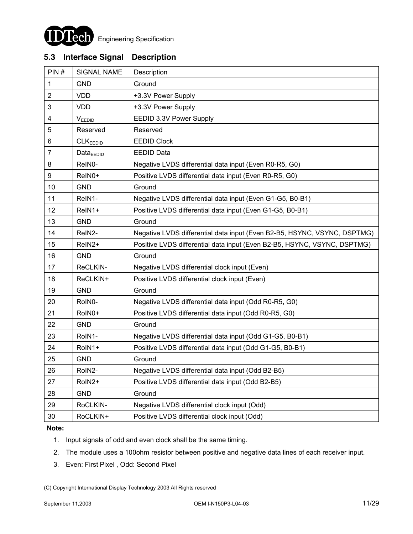

### **5.3 Interface Signal Description**

| PIN#           | <b>SIGNAL NAME</b>   | Description                                                              |
|----------------|----------------------|--------------------------------------------------------------------------|
| 1              | <b>GND</b>           | Ground                                                                   |
| $\overline{2}$ | <b>VDD</b>           | +3.3V Power Supply                                                       |
| 3              | <b>VDD</b>           | +3.3V Power Supply                                                       |
| 4              | VEEDID               | EEDID 3.3V Power Supply                                                  |
| 5              | Reserved             | Reserved                                                                 |
| 6              | CLK <sub>EEDID</sub> | <b>EEDID Clock</b>                                                       |
| $\overline{7}$ | Data <sub>EDID</sub> | <b>EEDID Data</b>                                                        |
| 8              | ReIN0-               | Negative LVDS differential data input (Even R0-R5, G0)                   |
| 9              | ReIN0+               | Positive LVDS differential data input (Even R0-R5, G0)                   |
| 10             | <b>GND</b>           | Ground                                                                   |
| 11             | ReIN1-               | Negative LVDS differential data input (Even G1-G5, B0-B1)                |
| 12             | ReIN1+               | Positive LVDS differential data input (Even G1-G5, B0-B1)                |
| 13             | <b>GND</b>           | Ground                                                                   |
| 14             | ReIN2-               | Negative LVDS differential data input (Even B2-B5, HSYNC, VSYNC, DSPTMG) |
| 15             | ReIN <sub>2</sub> +  | Positive LVDS differential data input (Even B2-B5, HSYNC, VSYNC, DSPTMG) |
| 16             | <b>GND</b>           | Ground                                                                   |
| 17             | ReCLKIN-             | Negative LVDS differential clock input (Even)                            |
| 18             | ReCLKIN+             | Positive LVDS differential clock input (Even)                            |
| 19             | <b>GND</b>           | Ground                                                                   |
| 20             | RoIN0-               | Negative LVDS differential data input (Odd R0-R5, G0)                    |
| 21             | RoIN0+               | Positive LVDS differential data input (Odd R0-R5, G0)                    |
| 22             | <b>GND</b>           | Ground                                                                   |
| 23             | RoIN1-               | Negative LVDS differential data input (Odd G1-G5, B0-B1)                 |
| 24             | RoIN1+               | Positive LVDS differential data input (Odd G1-G5, B0-B1)                 |
| 25             | <b>GND</b>           | Ground                                                                   |
| 26             | RoIN2-               | Negative LVDS differential data input (Odd B2-B5)                        |
| 27             | RoIN2+               | Positive LVDS differential data input (Odd B2-B5)                        |
| 28             | <b>GND</b>           | Ground                                                                   |
| 29             | RoCLKIN-             | Negative LVDS differential clock input (Odd)                             |
| 30             | RoCLKIN+             | Positive LVDS differential clock input (Odd)                             |

#### **Note:**

- 1. Input signals of odd and even clock shall be the same timing.
- 2. The module uses a 100ohm resistor between positive and negative data lines of each receiver input.
- 3. Even: First Pixel , Odd: Second Pixel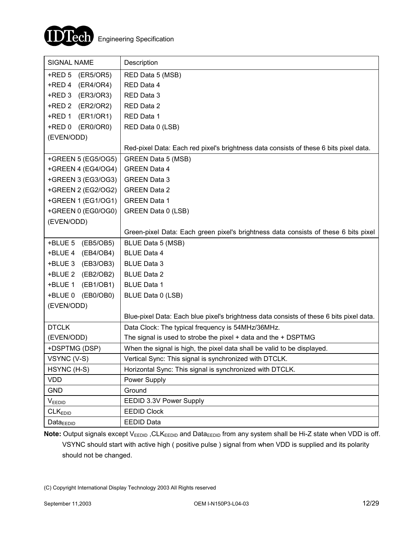

| SIGNAL NAME            | Description                                                                             |
|------------------------|-----------------------------------------------------------------------------------------|
| $+$ RED 5<br>(ER5/OR5) | RED Data 5 (MSB)                                                                        |
| +RED 4<br>(ER4/OR4)    | RED Data 4                                                                              |
| +RED 3<br>(ER3/OR3)    | RED Data 3                                                                              |
| (ER2/OR2)<br>+RED 2    | RED Data 2                                                                              |
| (ER1/OR1)<br>+RED 1    | RED Data 1                                                                              |
| +RED 0 (ER0/OR0)       | RED Data 0 (LSB)                                                                        |
| (EVEN/ODD)             |                                                                                         |
|                        | Red-pixel Data: Each red pixel's brightness data consists of these 6 bits pixel data.   |
| +GREEN 5 (EG5/OG5)     | <b>GREEN Data 5 (MSB)</b>                                                               |
| +GREEN 4 (EG4/OG4)     | <b>GREEN Data 4</b>                                                                     |
| +GREEN 3 (EG3/OG3)     | <b>GREEN Data 3</b>                                                                     |
| +GREEN 2 (EG2/OG2)     | <b>GREEN Data 2</b>                                                                     |
| +GREEN 1 (EG1/OG1)     | <b>GREEN Data 1</b>                                                                     |
| +GREEN 0 (EG0/OG0)     | GREEN Data 0 (LSB)                                                                      |
| (EVEN/ODD)             |                                                                                         |
|                        | Green-pixel Data: Each green pixel's brightness data consists of these 6 bits pixel     |
| +BLUE 5<br>(EB5/OB5)   | BLUE Data 5 (MSB)                                                                       |
| +BLUE 4 (EB4/OB4)      | <b>BLUE Data 4</b>                                                                      |
| (EB3/OB3)<br>+BLUE 3   | <b>BLUE Data 3</b>                                                                      |
| (EB2/OB2)<br>+BLUE 2   | <b>BLUE Data 2</b>                                                                      |
| +BLUE 1<br>(EB1/OB1)   | <b>BLUE Data 1</b>                                                                      |
| +BLUE 0 (EB0/OB0)      | BLUE Data 0 (LSB)                                                                       |
| (EVEN/ODD)             |                                                                                         |
|                        | Blue-pixel Data: Each blue pixel's brightness data consists of these 6 bits pixel data. |
| <b>DTCLK</b>           | Data Clock: The typical frequency is 54MHz/36MHz.                                       |
| (EVEN/ODD)             | The signal is used to strobe the pixel + data and the + DSPTMG                          |
| +DSPTMG (DSP)          | When the signal is high, the pixel data shall be valid to be displayed.                 |
| VSYNC (V-S)            | Vertical Sync: This signal is synchronized with DTCLK.                                  |
| HSYNC (H-S)            | Horizontal Sync: This signal is synchronized with DTCLK.                                |
| <b>VDD</b>             | Power Supply                                                                            |
| <b>GND</b>             | Ground                                                                                  |
| VEEDID                 | EEDID 3.3V Power Supply                                                                 |
| CLK <sub>EDID</sub>    | <b>EEDID Clock</b>                                                                      |
| Data $_{\text{EEDID}}$ | <b>EEDID Data</b>                                                                       |

Note: Output signals except V<sub>EEDID</sub>, CLK<sub>EEDID</sub> and Data<sub>EEDID</sub> from any system shall be Hi-Z state when VDD is off. VSYNC should start with active high ( positive pulse ) signal from when VDD is supplied and its polarity should not be changed.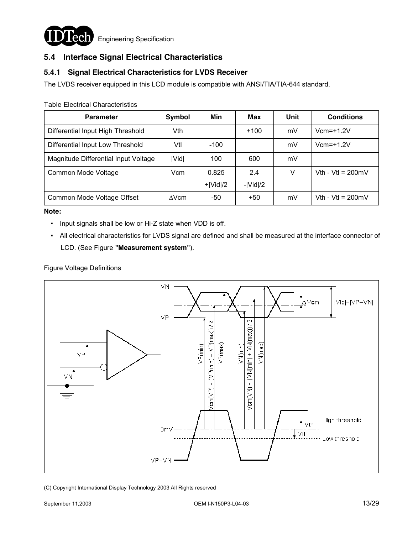

### **5.4 Interface Signal Electrical Characteristics**

### **5.4.1 Signal Electrical Characteristics for LVDS Receiver**

The LVDS receiver equipped in this LCD module is compatible with ANSI/TIA/TIA-644 standard.

**Parameter Symbol Min Max Unit Conditions** Differential Input High Threshold | Vth | +100 | mV | Vcm=+1.2V Differential Input Low Threshold | Vtl | -100 | | mV | Vcm=+1.2V Magnitude Differential Input Voltage | |Vid| | 100 | 600 | mV Common Mode Voltage Vcm | 0.825 +|Vid|/2 2.4 -|Vid|/2 V  $\vert$  Vth - Vtl = 200mV Common Mode Voltage Offset  $\triangle$  ∆Vcm  $\parallel$  -50  $\parallel$  +50  $\parallel$  mV  $\parallel$  Vth - Vtl = 200mV

Table Electrical Characteristics

#### **Note:**

- Input signals shall be low or Hi-Z state when VDD is off.
- All electrical characteristics for LVDS signal are defined and shall be measured at the interface connector of LCD. (See Figure **"Measurement system"**).

#### Figure Voltage Definitions

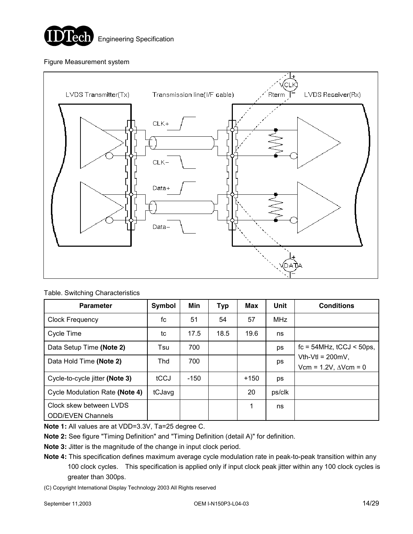

#### Figure Measurement system



#### Table. Switching Characteristics

| <b>Parameter</b>                                    | Symbol | Min    | Typ  | Max    | <b>Unit</b> | <b>Conditions</b>                                       |  |
|-----------------------------------------------------|--------|--------|------|--------|-------------|---------------------------------------------------------|--|
| <b>Clock Frequency</b>                              | fc     | 51     | 54   | 57     | <b>MHz</b>  |                                                         |  |
| Cycle Time                                          | tc     | 17.5   | 18.5 | 19.6   | ns          |                                                         |  |
| Data Setup Time (Note 2)                            | Tsu    | 700    |      |        | ps          | $fc = 54 MHz$ , $tCCJ < 50 ps$ ,                        |  |
| Data Hold Time (Note 2)                             | Thd    | 700    |      |        | ps          | Vth-Vtl = $200mV$ ,<br>Vcm = $1.2V$ , $\Delta V$ cm = 0 |  |
| Cycle-to-cycle jitter (Note 3)                      | tCCJ   | $-150$ |      | $+150$ | ps          |                                                         |  |
| Cycle Modulation Rate (Note 4)                      | tCJavg |        |      | 20     | ps/clk      |                                                         |  |
| Clock skew between LVDS<br><b>ODD/EVEN Channels</b> |        |        |      | 1      | ns          |                                                         |  |

**Note 1:** All values are at VDD=3.3V, Ta=25 degree C.

**Note 2:** See figure "Timing Definition" and "Timing Definition (detail A)" for definition.

**Note 3:** Jitter is the magnitude of the change in input clock period.

**Note 4:** This specification defines maximum average cycle modulation rate in peak-to-peak transition within any 100 clock cycles. This specification is applied only if input clock peak jitter within any 100 clock cycles is greater than 300ps.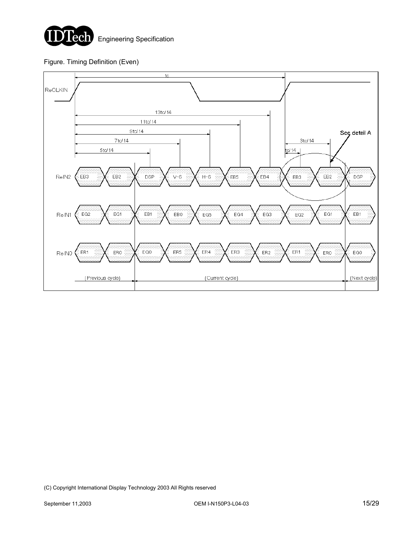

Figure. Timing Definition (Even)

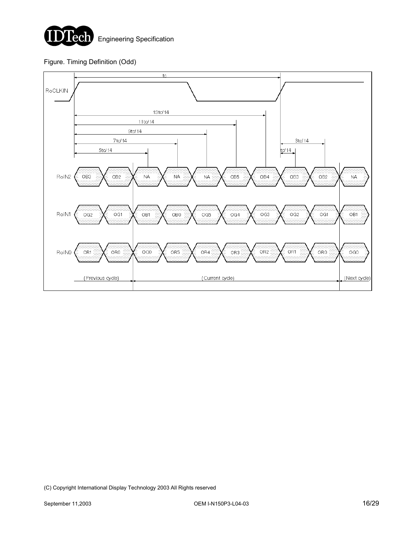

#### Figure. Timing Definition (Odd)

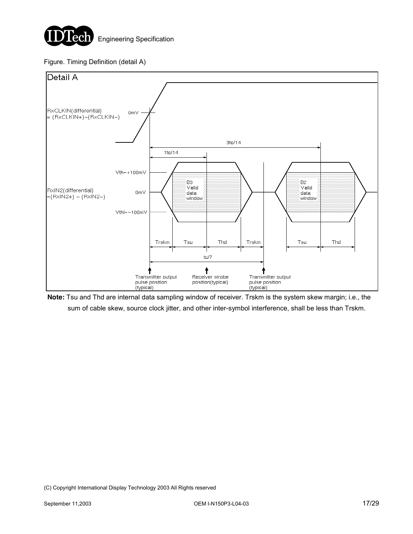

#### Figure. Timing Definition (detail A)



**Note:** Tsu and Thd are internal data sampling window of receiver. Trskm is the system skew margin; i.e., the sum of cable skew, source clock jitter, and other inter-symbol interference, shall be less than Trskm.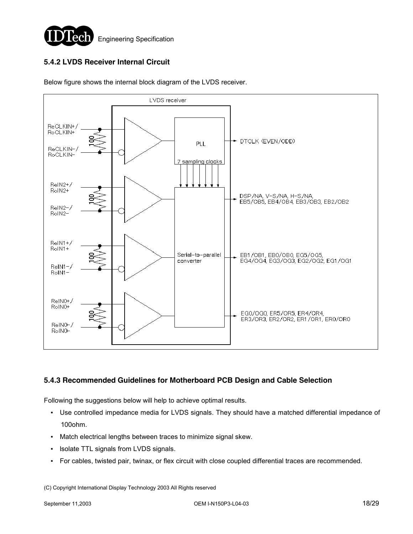

### **5.4.2 LVDS Receiver Internal Circuit**



Below figure shows the internal block diagram of the LVDS receiver.

#### **5.4.3 Recommended Guidelines for Motherboard PCB Design and Cable Selection**

Following the suggestions below will help to achieve optimal results.

- Use controlled impedance media for LVDS signals. They should have a matched differential impedance of 100ohm.
- Match electrical lengths between traces to minimize signal skew.
- lsolate TTL signals from LVDS signals.
- For cables, twisted pair, twinax, or flex circuit with close coupled differential traces are recommended.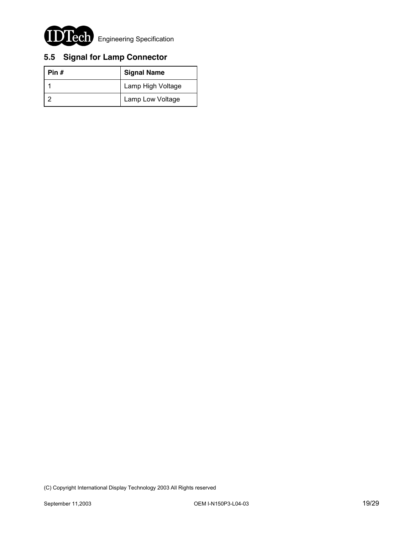

# **5.5 Signal for Lamp Connector**

| Pin $#$ | <b>Signal Name</b> |
|---------|--------------------|
|         | Lamp High Voltage  |
|         | Lamp Low Voltage   |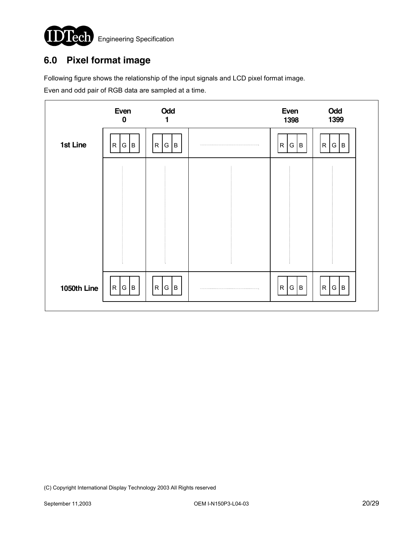

## **6.0 Pixel format image**

Following figure shows the relationship of the input signals and LCD pixel format image.

Even and odd pair of RGB data are sampled at a time.

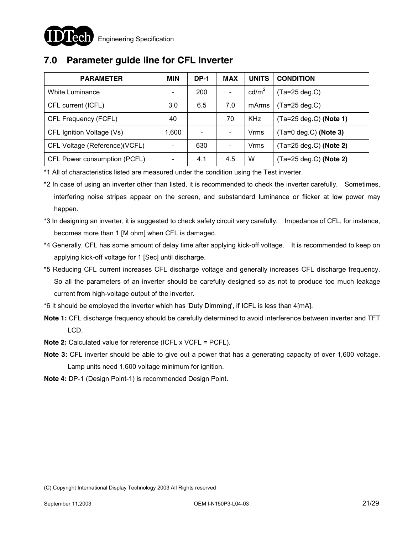## **7.0 Parameter guide line for CFL Inverter**

| <b>PARAMETER</b>              | <b>MIN</b> | DP-1                     | <b>MAX</b>      | <b>UNITS</b>      | <b>CONDITION</b>                 |
|-------------------------------|------------|--------------------------|-----------------|-------------------|----------------------------------|
| White Luminance               |            | 200                      | $\qquad \qquad$ | cd/m <sup>2</sup> | $(Ta=25 \deg.C)$                 |
| CFL current (ICFL)            | 3.0        | 6.5                      | 7.0             | mArms             | (Ta=25 deg.C)                    |
| CFL Frequency (FCFL)          | 40         |                          | 70              | <b>KHz</b>        | $(Ta=25 \text{ deg.C})$ (Note 1) |
| CFL Ignition Voltage (Vs)     | 1,600      | $\overline{\phantom{0}}$ |                 | Vrms              | $(Ta=0$ deg.C) (Note 3)          |
| CFL Voltage (Reference)(VCFL) |            | 630                      |                 | Vrms              | $(Ta=25 \text{ deg.C})$ (Note 2) |
| CFL Power consumption (PCFL)  |            | 4.1                      | 4.5             | W                 | $(Ta=25 \text{ deg.C})$ (Note 2) |

\*1 All of characteristics listed are measured under the condition using the Test inverter.

\*2 In case of using an inverter other than listed, it is recommended to check the inverter carefully. Sometimes, interfering noise stripes appear on the screen, and substandard luminance or flicker at low power may happen.

- \*3 In designing an inverter, it is suggested to check safety circuit very carefully. Impedance of CFL, for instance, becomes more than 1 [M ohm] when CFL is damaged.
- \*4 Generally, CFL has some amount of delay time after applying kick-off voltage. It is recommended to keep on applying kick-off voltage for 1 [Sec] until discharge.
- \*5 Reducing CFL current increases CFL discharge voltage and generally increases CFL discharge frequency. So all the parameters of an inverter should be carefully designed so as not to produce too much leakage current from high-voltage output of the inverter.
- \*6 It should be employed the inverter which has 'Duty Dimming', if ICFL is less than 4[mA].
- **Note 1:** CFL discharge frequency should be carefully determined to avoid interference between inverter and TFT LCD.
- **Note 2:** Calculated value for reference (ICFL x VCFL = PCFL).
- **Note 3:** CFL inverter should be able to give out a power that has a generating capacity of over 1,600 voltage. Lamp units need 1,600 voltage minimum for ignition.
- **Note 4:** DP-1 (Design Point-1) is recommended Design Point.

<sup>(</sup>C) Copyright International Display Technology 2003 All Rights reserved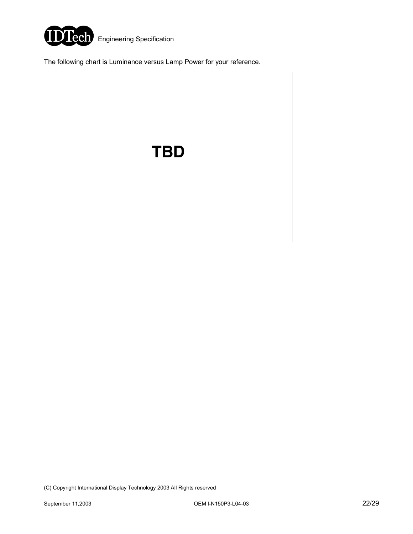

The following chart is Luminance versus Lamp Power for your reference.

**TBD**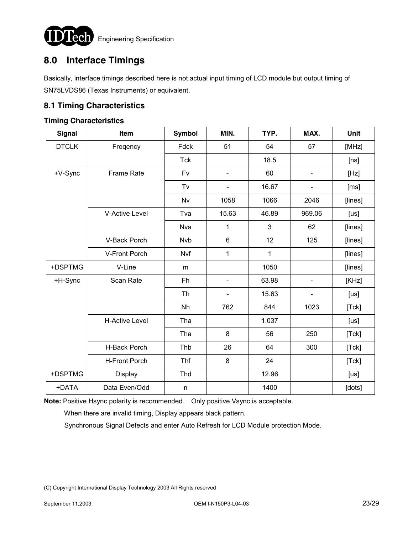

## **8.0 Interface Timings**

Basically, interface timings described here is not actual input timing of LCD module but output timing of SN75LVDS86 (Texas Instruments) or equivalent.

### **8.1 Timing Characteristics**

#### **Timing Characteristics**

| <b>Signal</b> | Item                  | <b>Symbol</b> | MIN.                         | TYP.  | MAX.                     | Unit    |
|---------------|-----------------------|---------------|------------------------------|-------|--------------------------|---------|
| <b>DTCLK</b>  | Freqency              | Fdck          | 51                           | 54    | 57                       | [MHz]   |
|               |                       | <b>Tck</b>    |                              | 18.5  |                          | [ns]    |
| +V-Sync       | Frame Rate            | Fv            | $\blacksquare$               | 60    | $\blacksquare$           | [Hz]    |
|               |                       | Tv            | $\qquad \qquad \blacksquare$ | 16.67 | -                        | [ms]    |
|               |                       | Nv            | 1058                         | 1066  | 2046                     | [lines] |
|               | <b>V-Active Level</b> | Tva           | 15.63                        | 46.89 | 969.06                   | [us]    |
|               |                       | Nva           | 1                            | 3     | 62                       | [lines] |
|               | V-Back Porch          | <b>Nvb</b>    | 6                            | 12    | 125                      | [lines] |
|               | V-Front Porch         | Nvf           | 1                            | 1     |                          | [lines] |
| +DSPTMG       | V-Line                | m             |                              | 1050  |                          | [lines] |
| +H-Sync       | Scan Rate             | Fh            | $\overline{\phantom{a}}$     | 63.98 | $\overline{\phantom{a}}$ | [KHz]   |
|               |                       | <b>Th</b>     | $\blacksquare$               | 15.63 | $\overline{\phantom{0}}$ | [us]    |
|               |                       | Nh            | 762                          | 844   | 1023                     | [Tck]   |
|               | <b>H-Active Level</b> | Tha           |                              | 1.037 |                          | [us]    |
|               |                       | Tha           | 8                            | 56    | 250                      | [Tck]   |
|               | H-Back Porch          | Thb           | 26                           | 64    | 300                      | [Tck]   |
|               | <b>H-Front Porch</b>  | Thf           | 8                            | 24    |                          | [Tck]   |
| +DSPTMG       | Display               | Thd           |                              | 12.96 |                          | [us]    |
| +DATA         | Data Even/Odd         | n             |                              | 1400  |                          | [dots]  |

**Note:** Positive Hsync polarity is recommended. Only positive Vsync is acceptable.

When there are invalid timing, Display appears black pattern.

Synchronous Signal Defects and enter Auto Refresh for LCD Module protection Mode.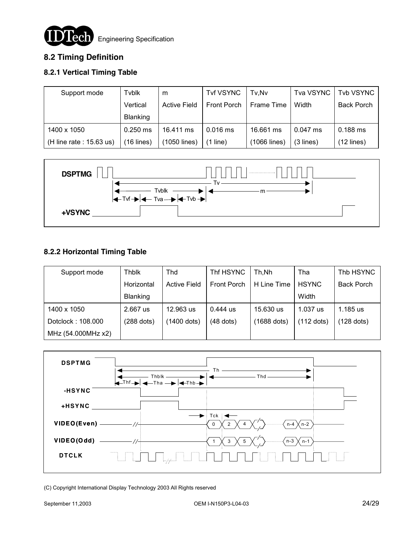

# **8.2 Timing Definition**

### **8.2.1 Vertical Timing Table**

| Support mode               | Tvblk           | m                   | Tvf VSYNC   | Tv.Nv        | Tva VSYNC   | Tvb VSYNC    |
|----------------------------|-----------------|---------------------|-------------|--------------|-------------|--------------|
|                            | Vertical        | <b>Active Field</b> | Front Porch | Frame Time   | Width       | Back Porch   |
|                            | <b>Blanking</b> |                     |             |              |             |              |
| 1400 x 1050                | $0.250$ ms      | 16.411 ms           | $0.016$ ms  | 16.661 ms    | $0.047$ ms  | $0.188$ ms   |
| (H line rate : $15.63$ us) | $(16$ lines)    | (1050 lines)        | $(1$ line)  | (1066 lines) | $(3$ lines) | $(12$ lines) |



### **8.2.2 Horizontal Timing Table**

| Support mode       | <b>Thblk</b> | Thd                 | Thf HSYNC   | Th.Nh       | Tha          | Thb HSYNC         |
|--------------------|--------------|---------------------|-------------|-------------|--------------|-------------------|
|                    | Horizontal   | <b>Active Field</b> | Front Porch | H Line Time | <b>HSYNC</b> | <b>Back Porch</b> |
|                    | Blanking     |                     |             |             | Width        |                   |
| 1400 x 1050        | 2.667 us     | 12.963 us           | 0.444 us    | 15.630 us   | 1.037 us     | 1.185 us          |
| Dotclock: 108.000  | $(288$ dots) | (1400 dots)         | $(48$ dots) | (1688 dots) | $(112$ dots) | $(128$ dots)      |
| MHz (54.000MHz x2) |              |                     |             |             |              |                   |

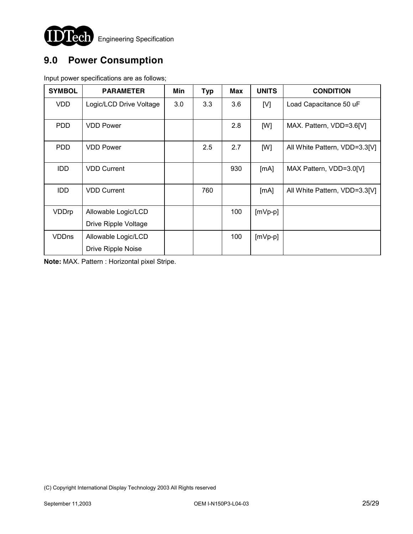

# **9.0 Power Consumption**

Input power specifications are as follows;

| <b>SYMBOL</b> | <b>PARAMETER</b>        | Min | <b>Typ</b> | Max | <b>UNITS</b> | <b>CONDITION</b>              |
|---------------|-------------------------|-----|------------|-----|--------------|-------------------------------|
| <b>VDD</b>    | Logic/LCD Drive Voltage | 3.0 | 3.3        | 3.6 | [V]          | Load Capacitance 50 uF        |
| <b>PDD</b>    | <b>VDD Power</b>        |     |            | 2.8 | [W]          | MAX. Pattern, VDD=3.6[V]      |
| <b>PDD</b>    | <b>VDD Power</b>        |     | 2.5        | 2.7 | [W]          | All White Pattern, VDD=3.3[V] |
| <b>IDD</b>    | <b>VDD Current</b>      |     |            | 930 | [mA]         | MAX Pattern, VDD=3.0[V]       |
| <b>IDD</b>    | <b>VDD Current</b>      |     | 760        |     | [mA]         | All White Pattern, VDD=3.3[V] |
| VDDrp         | Allowable Logic/LCD     |     |            | 100 | $[mVp-p]$    |                               |
|               | Drive Ripple Voltage    |     |            |     |              |                               |
| <b>VDDns</b>  | Allowable Logic/LCD     |     |            | 100 | $[mVp-p]$    |                               |
|               | Drive Ripple Noise      |     |            |     |              |                               |

**Note:** MAX. Pattern : Horizontal pixel Stripe.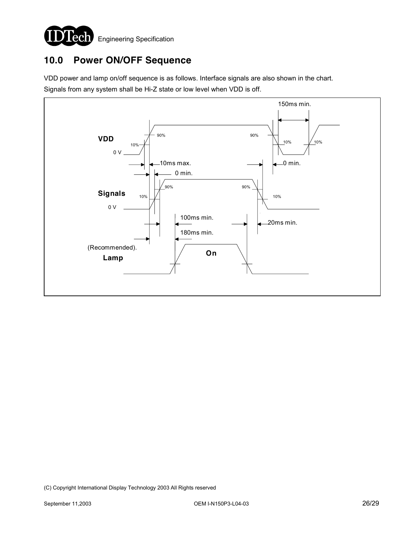

## **10.0 Power ON/OFF Sequence**

VDD power and lamp on/off sequence is as follows. Interface signals are also shown in the chart. Signals from any system shall be Hi-Z state or low level when VDD is off.

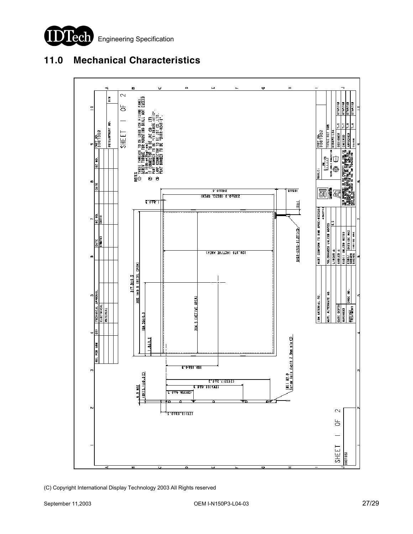

## **11.0 Mechanical Characteristics**

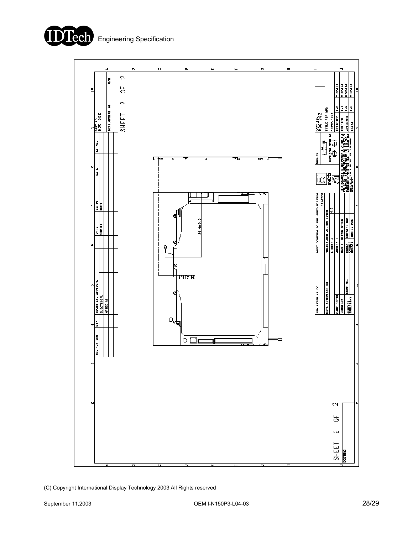